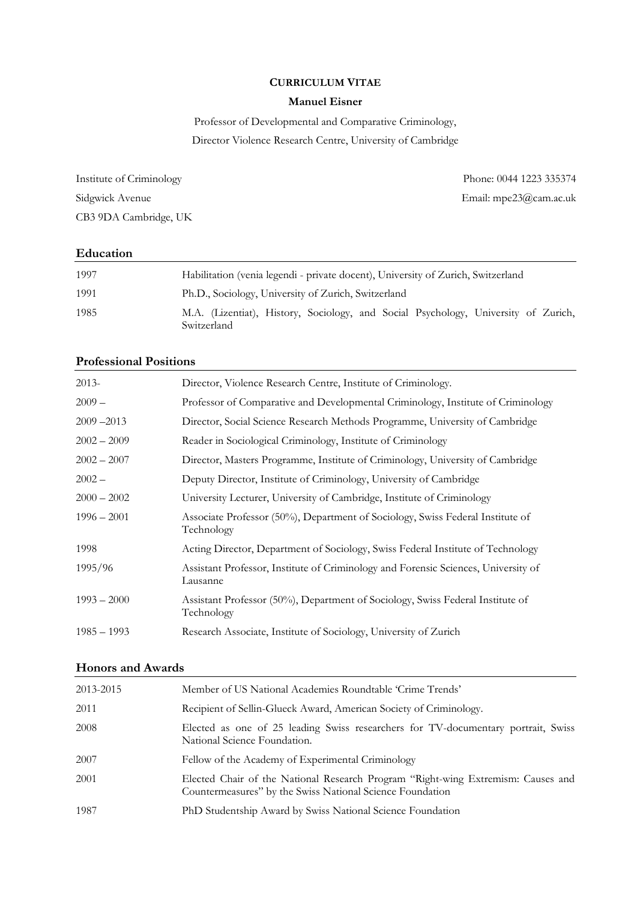# CURRICULUM VITAE

# Manuel Eisner

Professor of Developmental and Comparative Criminology, Director Violence Research Centre, University of Cambridge

CB3 9DA Cambridge, UK

Institute of Criminology Phone: 0044 1223 335374 Sidgwick Avenue Email: mpe23@cam.ac.uk

# Education

| 1997 | Habilitation (venia legendi - private docent), University of Zurich, Switzerland                  |
|------|---------------------------------------------------------------------------------------------------|
| 1991 | Ph.D., Sociology, University of Zurich, Switzerland                                               |
| 1985 | M.A. (Lizentiat), History, Sociology, and Social Psychology, University of Zurich,<br>Switzerland |

# Professional Positions

| $2013-$       | Director, Violence Research Centre, Institute of Criminology.                                  |
|---------------|------------------------------------------------------------------------------------------------|
| $2009-$       | Professor of Comparative and Developmental Criminology, Institute of Criminology               |
| $2009 - 2013$ | Director, Social Science Research Methods Programme, University of Cambridge                   |
| $2002 - 2009$ | Reader in Sociological Criminology, Institute of Criminology                                   |
| $2002 - 2007$ | Director, Masters Programme, Institute of Criminology, University of Cambridge                 |
| $2002 -$      | Deputy Director, Institute of Criminology, University of Cambridge                             |
| $2000 - 2002$ | University Lecturer, University of Cambridge, Institute of Criminology                         |
| $1996 - 2001$ | Associate Professor (50%), Department of Sociology, Swiss Federal Institute of<br>Technology   |
| 1998          | Acting Director, Department of Sociology, Swiss Federal Institute of Technology                |
| 1995/96       | Assistant Professor, Institute of Criminology and Forensic Sciences, University of<br>Lausanne |
| $1993 - 2000$ | Assistant Professor (50%), Department of Sociology, Swiss Federal Institute of<br>Technology   |
| $1985 - 1993$ | Research Associate, Institute of Sociology, University of Zurich                               |
|               |                                                                                                |

# Honors and Awards

| 2013-2015 | Member of US National Academies Roundtable 'Crime Trends'                                                                                     |
|-----------|-----------------------------------------------------------------------------------------------------------------------------------------------|
| 2011      | Recipient of Sellin-Glueck Award, American Society of Criminology.                                                                            |
| 2008      | Elected as one of 25 leading Swiss researchers for TV-documentary portrait, Swiss<br>National Science Foundation.                             |
| 2007      | Fellow of the Academy of Experimental Criminology                                                                                             |
| 2001      | Elected Chair of the National Research Program "Right-wing Extremism: Causes and<br>Countermeasures" by the Swiss National Science Foundation |
| 1987      | PhD Studentship Award by Swiss National Science Foundation                                                                                    |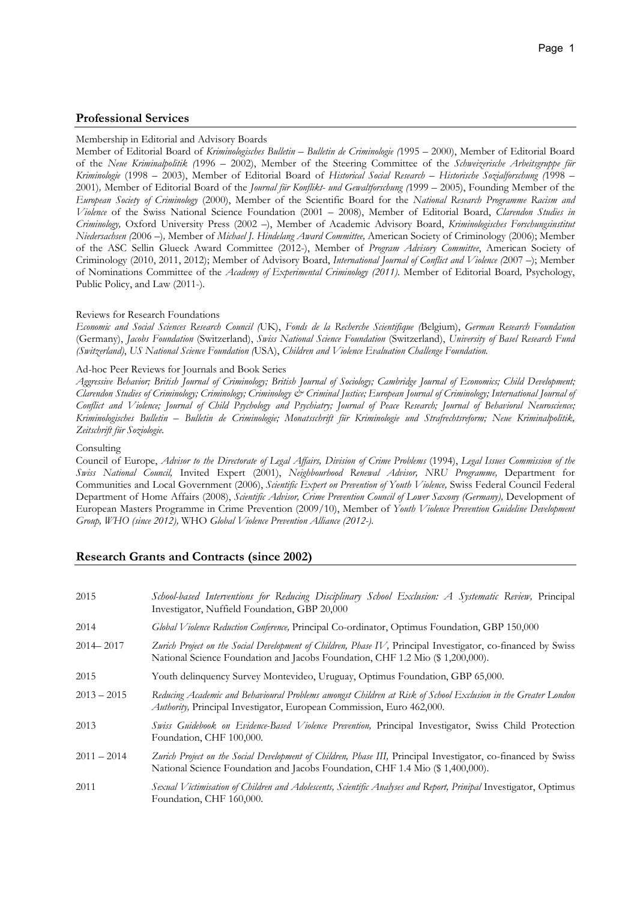### Professional Services

#### Membership in Editorial and Advisory Boards

Member of Editorial Board of Kriminologisches Bulletin – Bulletin de Criminologie (1995 – 2000), Member of Editorial Board of the Neue Kriminalpolitik (1996 – 2002), Member of the Steering Committee of the Schweizerische Arbeitsgruppe für Kriminologie (1998 – 2003), Member of Editorial Board of Historical Social Research – Historische Sozialforschung (1998 – 2001), Member of Editorial Board of the *Journal für Konflikt- und Gewaltforschung* (1999 – 2005), Founding Member of the European Society of Criminology (2000), Member of the Scientific Board for the National Research Programme Racism and Violence of the Swiss National Science Foundation (2001 – 2008), Member of Editorial Board, Clarendon Studies in Criminology, Oxford University Press (2002 –), Member of Academic Advisory Board, Kriminologisches Forschungsinstitut Niedersachsen (2006 –), Member of Michael J. Hindelang Award Committee, American Society of Criminology (2006); Member of the ASC Sellin Glueck Award Committee (2012-), Member of Program Advisory Committee, American Society of Criminology (2010, 2011, 2012); Member of Advisory Board, International Journal of Conflict and Violence (2007 –); Member of Nominations Committee of the Academy of Experimental Criminology (2011). Member of Editorial Board, Psychology, Public Policy, and Law (2011-).

#### Reviews for Research Foundations

Economic and Social Sciences Research Council (UK), Fonds de la Recherche Scientifique (Belgium), German Research Foundation (Germany), Jacobs Foundation (Switzerland), Swiss National Science Foundation (Switzerland), University of Basel Research Fund (Switzerland), US National Science Foundation (USA), Children and Violence Evaluation Challenge Foundation.

#### Ad-hoc Peer Reviews for Journals and Book Series

Aggressive Behavior; British Journal of Criminology; British Journal of Sociology; Cambridge Journal of Economics; Child Development; Clarendon Studies of Criminology; Criminology; Criminology & Criminal Justice; European Journal of Criminology; International Journal of Conflict and Violence; Journal of Child Psychology and Psychiatry; Journal of Peace Research; Journal of Behavioral Neuroscience; Kriminologisches Bulletin – Bulletin de Criminologie; Monatsschrift für Kriminologie und Strafrechtsreform; Neue Kriminalpolitik, Zeitschrift für Soziologie.

#### Consulting

Council of Europe, Advisor to the Directorate of Legal Affairs, Division of Crime Problems (1994), Legal Issues Commission of the Swiss National Council, Invited Expert (2001), Neighbourhood Renewal Advisor, NRU Programme, Department for Communities and Local Government (2006), Scientific Expert on Prevention of Youth Violence, Swiss Federal Council Federal Department of Home Affairs (2008), Scientific Advisor, Crime Prevention Council of Lower Saxony (Germany), Development of European Masters Programme in Crime Prevention (2009/10), Member of Youth Violence Prevention Guideline Development Group, WHO (since 2012), WHO Global Violence Prevention Alliance (2012-).

## Research Grants and Contracts (since 2002)

| 2015          | School-based Interventions for Reducing Disciplinary School Exclusion: A Systematic Review, Principal<br>Investigator, Nuffield Foundation, GBP 20,000                                         |
|---------------|------------------------------------------------------------------------------------------------------------------------------------------------------------------------------------------------|
| 2014          | Global Violence Reduction Conference, Principal Co-ordinator, Optimus Foundation, GBP 150,000                                                                                                  |
| $2014 - 2017$ | Zurich Project on the Social Development of Children, Phase IV, Principal Investigator, co-financed by Swiss<br>National Science Foundation and Jacobs Foundation, CHF 1.2 Mio (\$1,200,000).  |
| 2015          | Youth delinquency Survey Montevideo, Uruguay, Optimus Foundation, GBP 65,000.                                                                                                                  |
| $2013 - 2015$ | Reducing Academic and Behavioural Problems amongst Children at Risk of School Exclusion in the Greater London<br>Authority, Principal Investigator, European Commission, Euro 462,000.         |
| 2013          | Swiss Guidebook on Evidence-Based Violence Prevention, Principal Investigator, Swiss Child Protection<br>Foundation, CHF 100,000.                                                              |
| $2011 - 2014$ | Zurich Project on the Social Development of Children, Phase III, Principal Investigator, co-financed by Swiss<br>National Science Foundation and Jacobs Foundation, CHF 1.4 Mio (\$1,400,000). |
| 2011          | Sexual Victimisation of Children and Adolescents, Scientific Analyses and Report, Prinipal Investigator, Optimus<br>Foundation, CHF 160,000.                                                   |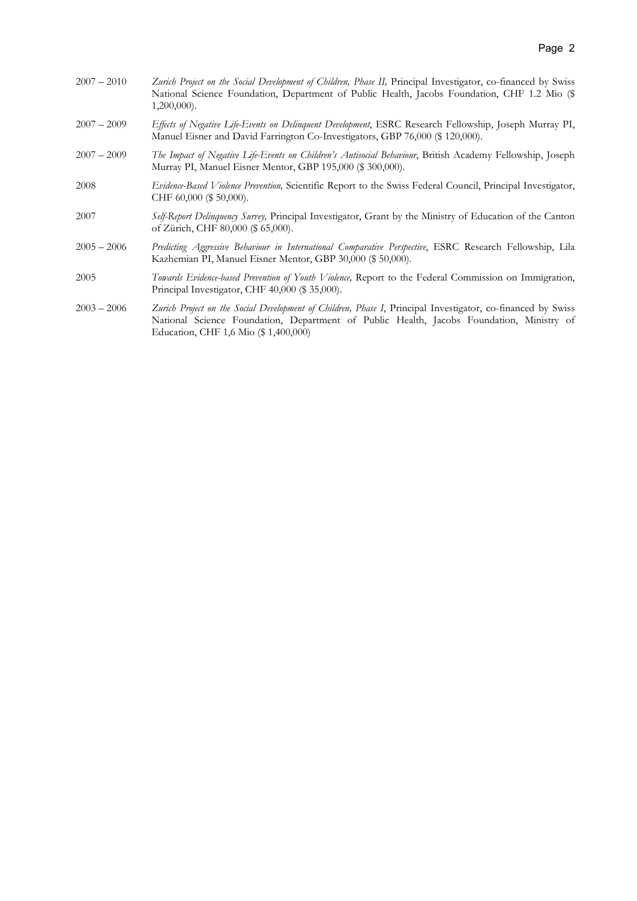| $2007 - 2010$ | Zurich Project on the Social Development of Children, Phase II, Principal Investigator, co-financed by Swiss<br>National Science Foundation, Department of Public Health, Jacobs Foundation, CHF 1.2 Mio (\$<br>$1,200,000$ .                   |
|---------------|-------------------------------------------------------------------------------------------------------------------------------------------------------------------------------------------------------------------------------------------------|
| $2007 - 2009$ | Effects of Negative Life-Events on Delinquent Development, ESRC Research Fellowship, Joseph Murray PI,<br>Manuel Eisner and David Farrington Co-Investigators, GBP 76,000 (\$ 120,000).                                                         |
| $2007 - 2009$ | The Impact of Negative Life-Events on Children's Antisocial Behaviour, British Academy Fellowship, Joseph<br>Murray PI, Manuel Eisner Mentor, GBP 195,000 (\$ 300,000).                                                                         |
| 2008          | Evidence-Based Violence Prevention, Scientific Report to the Swiss Federal Council, Principal Investigator,<br>CHF 60,000 (\$50,000).                                                                                                           |
| 2007          | Self-Report Delinquency Survey, Principal Investigator, Grant by the Ministry of Education of the Canton<br>of Zürich, CHF 80,000 (\$ 65,000).                                                                                                  |
| $2005 - 2006$ | Predicting Aggressive Behaviour in International Comparative Perspective, ESRC Research Fellowship, Lila<br>Kazhemian PI, Manuel Eisner Mentor, GBP 30,000 (\$50,000).                                                                          |
| 2005          | Towards Evidence-based Prevention of Youth Violence, Report to the Federal Commission on Immigration,<br>Principal Investigator, CHF 40,000 (\$35,000).                                                                                         |
| $2003 - 2006$ | Zurich Project on the Social Development of Children, Phase I, Principal Investigator, co-financed by Swiss<br>National Science Foundation, Department of Public Health, Jacobs Foundation, Ministry of<br>Education, CHF 1,6 Mio (\$1,400,000) |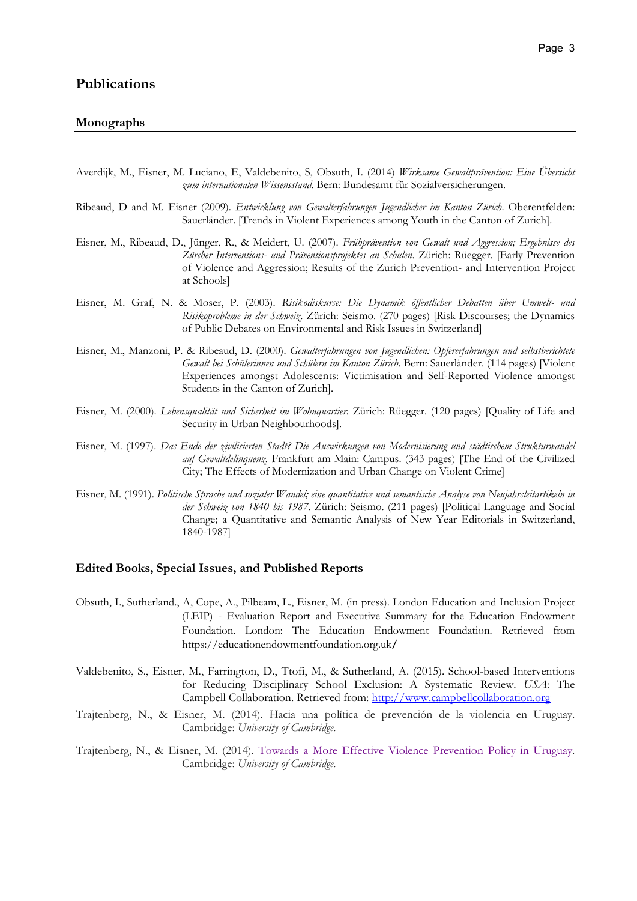## Monographs

- Averdijk, M., Eisner, M. Luciano, E, Valdebenito, S, Obsuth, I. (2014) Wirksame Gewaltprävention: Eine Übersicht zum internationalen Wissensstand. Bern: Bundesamt für Sozialversicherungen.
- Ribeaud, D and M. Eisner (2009). Entwicklung von Gewalterfahrungen Jugendlicher im Kanton Zürich. Oberentfelden: Sauerländer. [Trends in Violent Experiences among Youth in the Canton of Zurich].
- Eisner, M., Ribeaud, D., Jünger, R., & Meidert, U. (2007). Frühprävention von Gewalt und Aggression; Ergebnisse des Zürcher Interventions- und Präventionsprojektes an Schulen. Zürich: Rüegger. [Early Prevention] of Violence and Aggression; Results of the Zurich Prevention- and Intervention Project at Schools]
- Eisner, M. Graf, N. & Moser, P. (2003). Risikodiskurse: Die Dynamik öffentlicher Debatten über Umwelt- und Risikoprobleme in der Schweiz. Zürich: Seismo. (270 pages) [Risk Discourses; the Dynamics of Public Debates on Environmental and Risk Issues in Switzerland]
- Eisner, M., Manzoni, P. & Ribeaud, D. (2000). Gewalterfahrungen von Jugendlichen: Opfererfahrungen und selbstberichtete Gewalt bei Schülerinnen und Schülern im Kanton Zürich. Bern: Sauerländer. (114 pages) [Violent Experiences amongst Adolescents: Victimisation and Self-Reported Violence amongst Students in the Canton of Zurich].
- Eisner, M. (2000). Lebensqualität und Sicherheit im Wohnquartier. Zürich: Rüegger. (120 pages) [Quality of Life and Security in Urban Neighbourhoods].
- Eisner, M. (1997). Das Ende der zivilisierten Stadt? Die Auswirkungen von Modernisierung und städtischem Strukturwandel auf Gewaltdelinquenz. Frankfurt am Main: Campus. (343 pages) [The End of the Civilized City; The Effects of Modernization and Urban Change on Violent Crime]
- Eisner, M. (1991). Politische Sprache und sozialer Wandel; eine quantitative und semantische Analyse von Neujahrsleitartikeln in der Schweiz von 1840 bis 1987. Zürich: Seismo. (211 pages) [Political Language and Social Change; a Quantitative and Semantic Analysis of New Year Editorials in Switzerland, 1840-1987]

# Edited Books, Special Issues, and Published Reports

- Obsuth, I., Sutherland., A, Cope, A., Pilbeam, L., Eisner, M. (in press). London Education and Inclusion Project (LEIP) - Evaluation Report and Executive Summary for the Education Endowment Foundation. London: The Education Endowment Foundation. Retrieved from https://educationendowmentfoundation.org.uk/
- Valdebenito, S., Eisner, M., Farrington, D., Ttofi, M., & Sutherland, A. (2015). School-based Interventions for Reducing Disciplinary School Exclusion: A Systematic Review. USA: The Campbell Collaboration. Retrieved from: http://www.campbellcollaboration.org
- Trajtenberg, N., & Eisner, M. (2014). Hacia una política de prevención de la violencia en Uruguay. Cambridge: University of Cambridge.
- Trajtenberg, N., & Eisner, M. (2014). Towards a More Effective Violence Prevention Policy in Uruguay. Cambridge: University of Cambridge.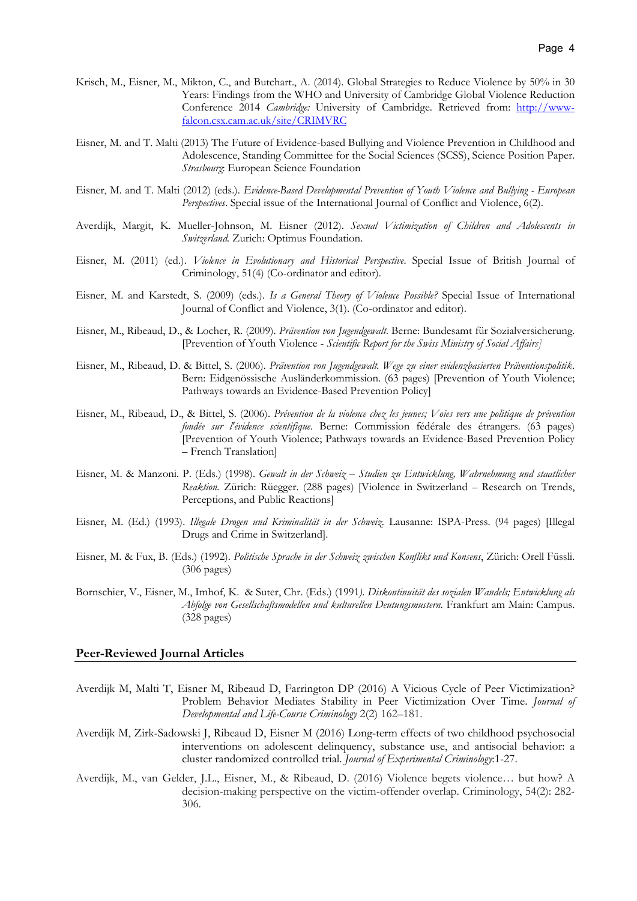- Krisch, M., Eisner, M., Mikton, C., and Butchart., A. (2014). Global Strategies to Reduce Violence by 50% in 30 Years: Findings from the WHO and University of Cambridge Global Violence Reduction Conference 2014 Cambridge: University of Cambridge. Retrieved from: http://wwwfalcon.csx.cam.ac.uk/site/CRIMVRC
- Eisner, M. and T. Malti (2013) The Future of Evidence-based Bullying and Violence Prevention in Childhood and Adolescence, Standing Committee for the Social Sciences (SCSS), Science Position Paper. Strasbourg: European Science Foundation
- Eisner, M. and T. Malti (2012) (eds.). Evidence-Based Developmental Prevention of Youth Violence and Bullying European Perspectives. Special issue of the International Journal of Conflict and Violence, 6(2).
- Averdijk, Margit, K. Mueller-Johnson, M. Eisner (2012). Sexual Victimization of Children and Adolescents in Switzerland. Zurich: Optimus Foundation.
- Eisner, M. (2011) (ed.). *Violence in Evolutionary and Historical Perspective*. Special Issue of British Journal of Criminology, 51(4) (Co-ordinator and editor).
- Eisner, M. and Karstedt, S. (2009) (eds.). Is a General Theory of Violence Possible? Special Issue of International Journal of Conflict and Violence, 3(1). (Co-ordinator and editor).
- Eisner, M., Ribeaud, D., & Locher, R. (2009). Prävention von Jugendgewalt. Berne: Bundesamt für Sozialversicherung. [Prevention of Youth Violence - Scientific Report for the Swiss Ministry of Social Affairs]
- Eisner, M., Ribeaud, D. & Bittel, S. (2006). Prävention von Jugendgewalt. Wege zu einer evidenzbasierten Präventionspolitik. Bern: Eidgenössische Ausländerkommission. (63 pages) [Prevention of Youth Violence; Pathways towards an Evidence-Based Prevention Policy]
- Eisner, M., Ribeaud, D., & Bittel, S. (2006). Prévention de la violence chez les jeunes; Voies vers une politique de prévention fondée sur l'évidence scientifique. Berne: Commission fédérale des étrangers. (63 pages) [Prevention of Youth Violence; Pathways towards an Evidence-Based Prevention Policy – French Translation]
- Eisner, M. & Manzoni. P. (Eds.) (1998). Gewalt in der Schweiz Studien zu Entwicklung, Wahrnehmung und staatlicher Reaktion. Zürich: Rüegger. (288 pages) [Violence in Switzerland – Research on Trends, Perceptions, and Public Reactions]
- Eisner, M. (Ed.) (1993). Illegale Drogen und Kriminalität in der Schweiz. Lausanne: ISPA-Press. (94 pages) [Illegal Drugs and Crime in Switzerland].
- Eisner, M. & Fux, B. (Eds.) (1992). Politische Sprache in der Schweiz zwischen Konflikt und Konsens, Zürich: Orell Füssli. (306 pages)
- Bornschier, V., Eisner, M., Imhof, K. & Suter, Chr. (Eds.) (1991). Diskontinuität des sozialen Wandels; Entwicklung als Abfolge von Gesellschaftsmodellen und kulturellen Deutungsmustern. Frankfurt am Main: Campus. (328 pages)

#### Peer-Reviewed Journal Articles

- Averdijk M, Malti T, Eisner M, Ribeaud D, Farrington DP (2016) A Vicious Cycle of Peer Victimization? Problem Behavior Mediates Stability in Peer Victimization Over Time. Journal of Developmental and Life-Course Criminology 2(2) 162–181.
- Averdijk M, Zirk-Sadowski J, Ribeaud D, Eisner M (2016) Long-term effects of two childhood psychosocial interventions on adolescent delinquency, substance use, and antisocial behavior: a cluster randomized controlled trial. Journal of Experimental Criminology:1-27.
- Averdijk, M., van Gelder, J.L., Eisner, M., & Ribeaud, D. (2016) Violence begets violence… but how? A decision-making perspective on the victim-offender overlap. Criminology, 54(2): 282- 306.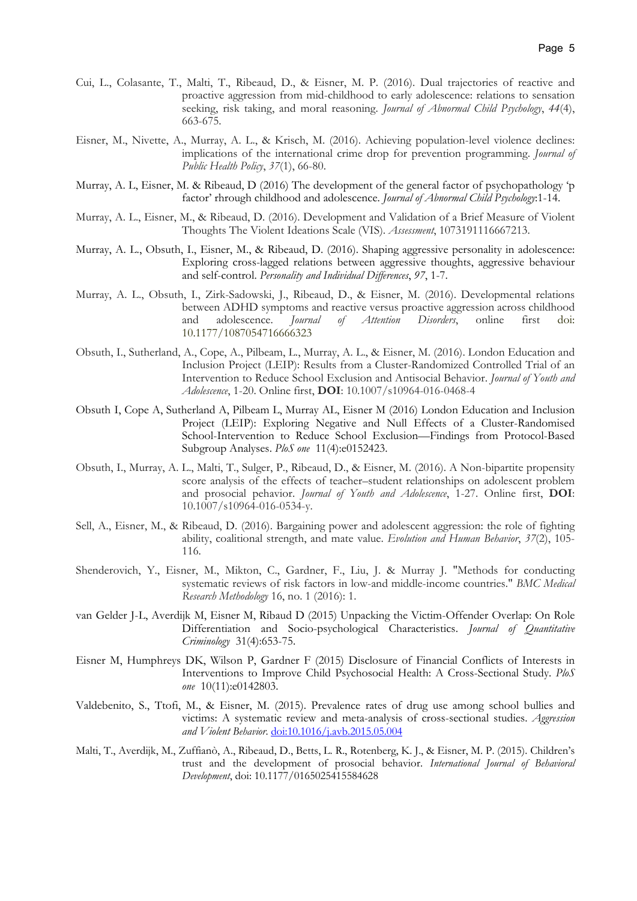- Cui, L., Colasante, T., Malti, T., Ribeaud, D., & Eisner, M. P. (2016). Dual trajectories of reactive and proactive aggression from mid-childhood to early adolescence: relations to sensation seeking, risk taking, and moral reasoning. Journal of Abnormal Child Psychology, 44(4), 663-675.
- Eisner, M., Nivette, A., Murray, A. L., & Krisch, M. (2016). Achieving population-level violence declines: implications of the international crime drop for prevention programming. Journal of Public Health Policy, 37(1), 66-80.
- Murray, A. L, Eisner, M. & Ribeaud, D (2016) The development of the general factor of psychopathology 'p factor' rhrough childhood and adolescence. Journal of Abnormal Child Psychology:1-14.
- Murray, A. L., Eisner, M., & Ribeaud, D. (2016). Development and Validation of a Brief Measure of Violent Thoughts The Violent Ideations Scale (VIS). Assessment, 1073191116667213.
- Murray, A. L., Obsuth, I., Eisner, M., & Ribeaud, D. (2016). Shaping aggressive personality in adolescence: Exploring cross-lagged relations between aggressive thoughts, aggressive behaviour and self-control. Personality and Individual Differences, 97, 1-7.
- Murray, A. L., Obsuth, I., Zirk-Sadowski, J., Ribeaud, D., & Eisner, M. (2016). Developmental relations between ADHD symptoms and reactive versus proactive aggression across childhood and adolescence. Journal of Attention Disorders, online first doi: 10.1177/1087054716666323
- Obsuth, I., Sutherland, A., Cope, A., Pilbeam, L., Murray, A. L., & Eisner, M. (2016). London Education and Inclusion Project (LEIP): Results from a Cluster-Randomized Controlled Trial of an Intervention to Reduce School Exclusion and Antisocial Behavior. Journal of Youth and Adolescence, 1-20. Online first, DOI: 10.1007/s10964-016-0468-4
- Obsuth I, Cope A, Sutherland A, Pilbeam L, Murray AL, Eisner M (2016) London Education and Inclusion Project (LEIP): Exploring Negative and Null Effects of a Cluster-Randomised School-Intervention to Reduce School Exclusion—Findings from Protocol-Based Subgroup Analyses. PloS one 11(4):e0152423.
- Obsuth, I., Murray, A. L., Malti, T., Sulger, P., Ribeaud, D., & Eisner, M. (2016). A Non-bipartite propensity score analysis of the effects of teacher–student relationships on adolescent problem and prosocial pehavior. Journal of Youth and Adolescence, 1-27. Online first, DOI: 10.1007/s10964-016-0534-y.
- Sell, A., Eisner, M., & Ribeaud, D. (2016). Bargaining power and adolescent aggression: the role of fighting ability, coalitional strength, and mate value. Evolution and Human Behavior,  $37(2)$ , 105-116.
- Shenderovich, Y., Eisner, M., Mikton, C., Gardner, F., Liu, J. & Murray J. "Methods for conducting systematic reviews of risk factors in low-and middle-income countries." BMC Medical Research Methodology 16, no. 1 (2016): 1.
- van Gelder J-L, Averdijk M, Eisner M, Ribaud D (2015) Unpacking the Victim-Offender Overlap: On Role Differentiation and Socio-psychological Characteristics. Journal of Quantitative Criminology 31(4):653-75.
- Eisner M, Humphreys DK, Wilson P, Gardner F (2015) Disclosure of Financial Conflicts of Interests in Interventions to Improve Child Psychosocial Health: A Cross-Sectional Study. PloS one 10(11):e0142803.
- Valdebenito, S., Ttofi, M., & Eisner, M. (2015). Prevalence rates of drug use among school bullies and victims: A systematic review and meta-analysis of cross-sectional studies. Aggression and Violent Behavior. doi:10.1016/j.avb.2015.05.004
- Malti, T., Averdijk, M., Zuffianò, A., Ribeaud, D., Betts, L. R., Rotenberg, K. J., & Eisner, M. P. (2015). Children's trust and the development of prosocial behavior. International Journal of Behavioral Development, doi: 10.1177/0165025415584628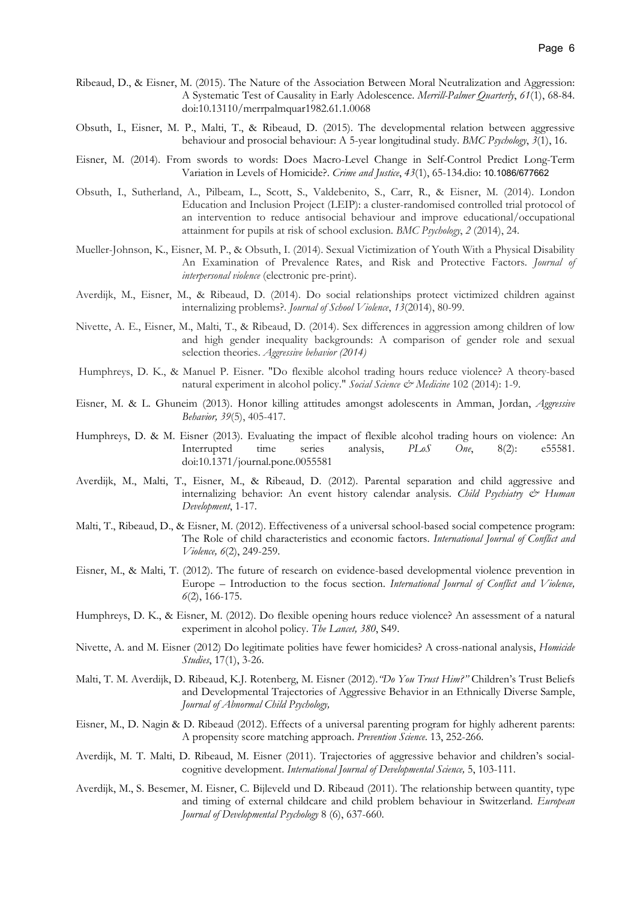- Ribeaud, D., & Eisner, M. (2015). The Nature of the Association Between Moral Neutralization and Aggression: A Systematic Test of Causality in Early Adolescence. Merrill-Palmer Quarterly, 61(1), 68-84. doi:10.13110/merrpalmquar1982.61.1.0068
- Obsuth, I., Eisner, M. P., Malti, T., & Ribeaud, D. (2015). The developmental relation between aggressive behaviour and prosocial behaviour: A 5-year longitudinal study. BMC Psychology, 3(1), 16.
- Eisner, M. (2014). From swords to words: Does Macro-Level Change in Self-Control Predict Long-Term Variation in Levels of Homicide?. Crime and Justice, 43(1), 65-134.dio: 10.1086/677662
- Obsuth, I., Sutherland, A., Pilbeam, L., Scott, S., Valdebenito, S., Carr, R., & Eisner, M. (2014). London Education and Inclusion Project (LEIP): a cluster-randomised controlled trial protocol of an intervention to reduce antisocial behaviour and improve educational/occupational attainment for pupils at risk of school exclusion. BMC Psychology, 2 (2014), 24.
- Mueller-Johnson, K., Eisner, M. P., & Obsuth, I. (2014). Sexual Victimization of Youth With a Physical Disability An Examination of Prevalence Rates, and Risk and Protective Factors. Journal of interpersonal violence (electronic pre-print).
- Averdijk, M., Eisner, M., & Ribeaud, D. (2014). Do social relationships protect victimized children against internalizing problems?. Journal of School Violence, 13(2014), 80-99.
- Nivette, A. E., Eisner, M., Malti, T., & Ribeaud, D. (2014). Sex differences in aggression among children of low and high gender inequality backgrounds: A comparison of gender role and sexual selection theories. Aggressive behavior (2014)
- Humphreys, D. K., & Manuel P. Eisner. "Do flexible alcohol trading hours reduce violence? A theory-based natural experiment in alcohol policy." Social Science & Medicine 102 (2014): 1-9.
- Eisner, M. & L. Ghuneim (2013). Honor killing attitudes amongst adolescents in Amman, Jordan, Aggressive Behavior, 39(5), 405-417.
- Humphreys, D. & M. Eisner (2013). Evaluating the impact of flexible alcohol trading hours on violence: An Interrupted time series analysis, PLoS One, 8(2): e55581. doi:10.1371/journal.pone.0055581
- Averdijk, M., Malti, T., Eisner, M., & Ribeaud, D. (2012). Parental separation and child aggressive and internalizing behavior: An event history calendar analysis. Child Psychiatry & Human Development, 1-17.
- Malti, T., Ribeaud, D., & Eisner, M. (2012). Effectiveness of a universal school-based social competence program: The Role of child characteristics and economic factors. International Journal of Conflict and Violence, 6(2), 249-259.
- Eisner, M., & Malti, T. (2012). The future of research on evidence-based developmental violence prevention in Europe – Introduction to the focus section. International Journal of Conflict and Violence, 6(2), 166-175.
- Humphreys, D. K., & Eisner, M. (2012). Do flexible opening hours reduce violence? An assessment of a natural experiment in alcohol policy. The Lancet, 380, S49.
- Nivette, A. and M. Eisner (2012) Do legitimate polities have fewer homicides? A cross-national analysis, Homicide Studies, 17(1), 3-26.
- Malti, T. M. Averdijk, D. Ribeaud, K.J. Rotenberg, M. Eisner (2012). "Do You Trust Him?" Children's Trust Beliefs and Developmental Trajectories of Aggressive Behavior in an Ethnically Diverse Sample, Journal of Abnormal Child Psychology,
- Eisner, M., D. Nagin & D. Ribeaud (2012). Effects of a universal parenting program for highly adherent parents: A propensity score matching approach. Prevention Science. 13, 252-266.
- Averdijk, M. T. Malti, D. Ribeaud, M. Eisner (2011). Trajectories of aggressive behavior and children's socialcognitive development. International Journal of Developmental Science, 5, 103-111.
- Averdijk, M., S. Besemer, M. Eisner, C. Bijleveld und D. Ribeaud (2011). The relationship between quantity, type and timing of external childcare and child problem behaviour in Switzerland. European Journal of Developmental Psychology 8 (6), 637-660.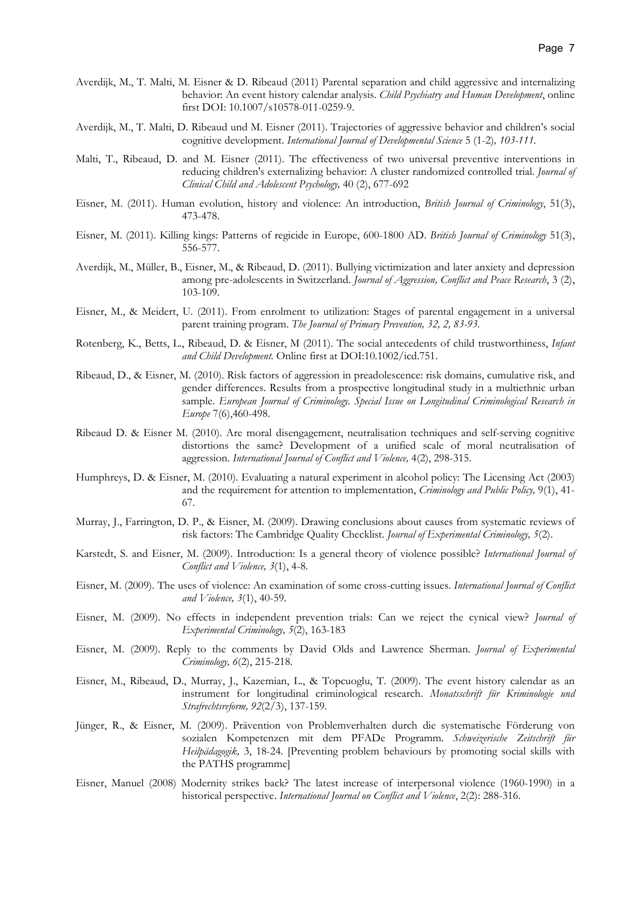- Averdijk, M., T. Malti, M. Eisner & D. Ribeaud (2011) Parental separation and child aggressive and internalizing behavior: An event history calendar analysis. *Child Psychiatry and Human Development*, online first DOI: 10.1007/s10578-011-0259-9.
- Averdijk, M., T. Malti, D. Ribeaud und M. Eisner (2011). Trajectories of aggressive behavior and children's social cognitive development. International Journal of Developmental Science 5 (1-2), 103-111.
- Malti, T., Ribeaud, D. and M. Eisner (2011). The effectiveness of two universal preventive interventions in reducing children's externalizing behavior: A cluster randomized controlled trial. Journal of Clinical Child and Adolescent Psychology, 40 (2), 677-692
- Eisner, M. (2011). Human evolution, history and violence: An introduction, British Journal of Criminology, 51(3), 473-478.
- Eisner, M. (2011). Killing kings: Patterns of regicide in Europe, 600-1800 AD. British Journal of Criminology 51(3), 556-577.
- Averdijk, M., Müller, B., Eisner, M., & Ribeaud, D. (2011). Bullying victimization and later anxiety and depression among pre-adolescents in Switzerland. Journal of Aggression, Conflict and Peace Research, 3 (2), 103-109.
- Eisner, M., & Meidert, U. (2011). From enrolment to utilization: Stages of parental engagement in a universal parent training program. The Journal of Primary Prevention, 32, 2, 83-93.
- Rotenberg, K., Betts, L., Ribeaud, D. & Eisner, M (2011). The social antecedents of child trustworthiness, Infant and Child Development. Online first at DOI:10.1002/icd.751.
- Ribeaud, D., & Eisner, M. (2010). Risk factors of aggression in preadolescence: risk domains, cumulative risk, and gender differences. Results from a prospective longitudinal study in a multiethnic urban sample. European Journal of Criminology. Special Issue on Longitudinal Criminological Research in Europe 7(6),460-498.
- Ribeaud D. & Eisner M. (2010). Are moral disengagement, neutralisation techniques and self-serving cognitive distortions the same? Development of a unified scale of moral neutralisation of aggression. International Journal of Conflict and Violence, 4(2), 298-315.
- Humphreys, D. & Eisner, M. (2010). Evaluating a natural experiment in alcohol policy: The Licensing Act (2003) and the requirement for attention to implementation, *Criminology and Public Policy*, 9(1), 41-67.
- Murray, J., Farrington, D. P., & Eisner, M. (2009). Drawing conclusions about causes from systematic reviews of risk factors: The Cambridge Quality Checklist. Journal of Experimental Criminology, 5(2).
- Karstedt, S. and Eisner, M. (2009). Introduction: Is a general theory of violence possible? International Journal of Conflict and Violence, 3(1), 4-8.
- Eisner, M. (2009). The uses of violence: An examination of some cross-cutting issues. International Journal of Conflict and *Violence*,  $3(1)$ , 40-59.
- Eisner, M. (2009). No effects in independent prevention trials: Can we reject the cynical view? Journal of Experimental Criminology, 5(2), 163-183
- Eisner, M. (2009). Reply to the comments by David Olds and Lawrence Sherman. Journal of Experimental Criminology, 6(2), 215-218.
- Eisner, M., Ribeaud, D., Murray, J., Kazemian, L., & Topcuoglu, T. (2009). The event history calendar as an instrument for longitudinal criminological research. Monatsschrift für Kriminologie und Strafrechtsreform, 92(2/3), 137-159.
- Jünger, R., & Eisner, M. (2009). Prävention von Problemverhalten durch die systematische Förderung von sozialen Kompetenzen mit dem PFADe Programm. Schweizerische Zeitschrift für Heilpädagogik, 3, 18-24. [Preventing problem behaviours by promoting social skills with the PATHS programme]
- Eisner, Manuel (2008) Modernity strikes back? The latest increase of interpersonal violence (1960-1990) in a historical perspective. International Journal on Conflict and Violence, 2(2): 288-316.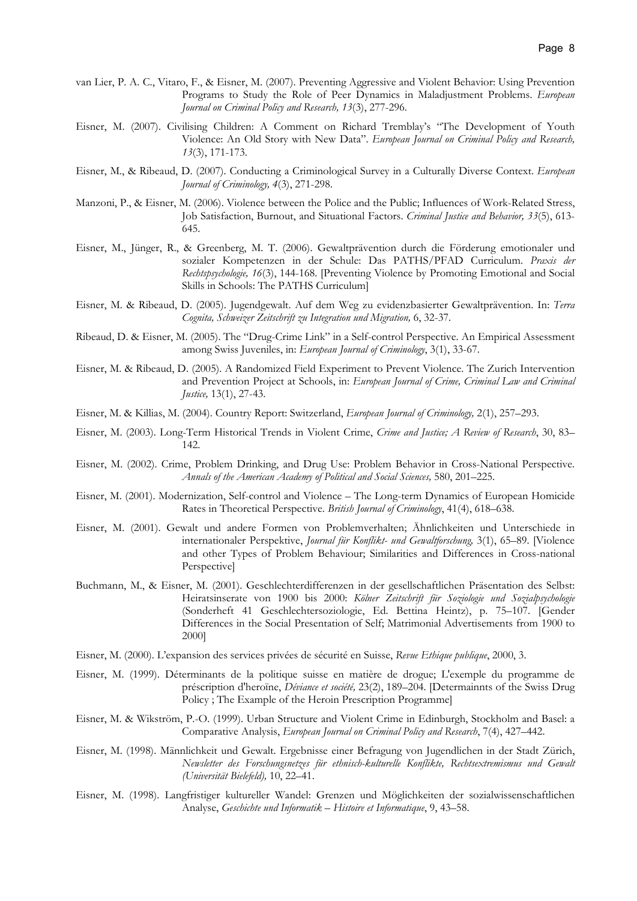- van Lier, P. A. C., Vitaro, F., & Eisner, M. (2007). Preventing Aggressive and Violent Behavior: Using Prevention Programs to Study the Role of Peer Dynamics in Maladjustment Problems. European Journal on Criminal Policy and Research, 13(3), 277-296.
- Eisner, M. (2007). Civilising Children: A Comment on Richard Tremblay's "The Development of Youth Violence: An Old Story with New Data". European Journal on Criminal Policy and Research, 13(3), 171-173.
- Eisner, M., & Ribeaud, D. (2007). Conducting a Criminological Survey in a Culturally Diverse Context. European Journal of Criminology, 4(3), 271-298.
- Manzoni, P., & Eisner, M. (2006). Violence between the Police and the Public; Influences of Work-Related Stress, Job Satisfaction, Burnout, and Situational Factors. Criminal Justice and Behavior, 33(5), 613- 645.
- Eisner, M., Jünger, R., & Greenberg, M. T. (2006). Gewaltprävention durch die Förderung emotionaler und sozialer Kompetenzen in der Schule: Das PATHS/PFAD Curriculum. Praxis der Rechtspsychologie, 16(3), 144-168. [Preventing Violence by Promoting Emotional and Social Skills in Schools: The PATHS Curriculum]
- Eisner, M. & Ribeaud, D. (2005). Jugendgewalt. Auf dem Weg zu evidenzbasierter Gewaltprävention. In: Terra Cognita, Schweizer Zeitschrift zu Integration und Migration, 6, 32-37.
- Ribeaud, D. & Eisner, M. (2005). The "Drug-Crime Link" in a Self-control Perspective. An Empirical Assessment among Swiss Juveniles, in: European Journal of Criminology, 3(1), 33-67.
- Eisner, M. & Ribeaud, D. (2005). A Randomized Field Experiment to Prevent Violence. The Zurich Intervention and Prevention Project at Schools, in: European Journal of Crime, Criminal Law and Criminal Justice, 13(1), 27-43.
- Eisner, M. & Killias, M. (2004). Country Report: Switzerland, European Journal of Criminology, 2(1), 257–293.
- Eisner, M. (2003). Long-Term Historical Trends in Violent Crime, Crime and Justice; A Review of Research, 30, 83– 142.
- Eisner, M. (2002). Crime, Problem Drinking, and Drug Use: Problem Behavior in Cross-National Perspective. Annals of the American Academy of Political and Social Sciences, 580, 201–225.
- Eisner, M. (2001). Modernization, Self-control and Violence The Long-term Dynamics of European Homicide Rates in Theoretical Perspective. British Journal of Criminology, 41(4), 618–638.
- Eisner, M. (2001). Gewalt und andere Formen von Problemverhalten; Ähnlichkeiten und Unterschiede in internationaler Perspektive, Journal für Konflikt- und Gewaltforschung, 3(1), 65-89. [Violence and other Types of Problem Behaviour; Similarities and Differences in Cross-national Perspective]
- Buchmann, M., & Eisner, M. (2001). Geschlechterdifferenzen in der gesellschaftlichen Präsentation des Selbst: Heiratsinserate von 1900 bis 2000: Kölner Zeitschrift für Soziologie und Sozialpsychologie (Sonderheft 41 Geschlechtersoziologie, Ed. Bettina Heintz), p. 75–107. [Gender Differences in the Social Presentation of Self; Matrimonial Advertisements from 1900 to 2000]
- Eisner, M. (2000). L'expansion des services privées de sécurité en Suisse, Revue Ethique publique, 2000, 3.
- Eisner, M. (1999). Déterminants de la politique suisse en matière de drogue; L'exemple du programme de préscription d'heroïne, Déviance et société, 23(2), 189–204. [Determainnts of the Swiss Drug Policy ; The Example of the Heroin Prescription Programme]
- Eisner, M. & Wikström, P.-O. (1999). Urban Structure and Violent Crime in Edinburgh, Stockholm and Basel: a Comparative Analysis, European Journal on Criminal Policy and Research, 7(4), 427–442.
- Eisner, M. (1998). Männlichkeit und Gewalt. Ergebnisse einer Befragung von Jugendlichen in der Stadt Zürich, Newsletter des Forschungsnetzes für ethnisch-kulturelle Konflikte, Rechtsextremismus und Gewalt (Universität Bielefeld), 10, 22–41.
- Eisner, M. (1998). Langfristiger kultureller Wandel: Grenzen und Möglichkeiten der sozialwissenschaftlichen Analyse, Geschichte und Informatik – Histoire et Informatique, 9, 43–58.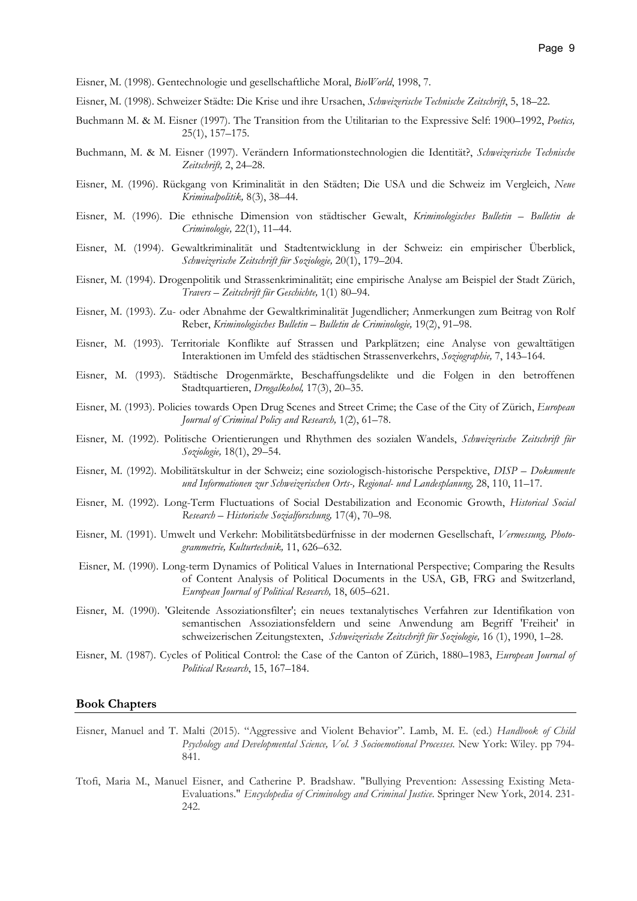Eisner, M. (1998). Gentechnologie und gesellschaftliche Moral, BioWorld, 1998, 7.

- Eisner, M. (1998). Schweizer Städte: Die Krise und ihre Ursachen, Schweizerische Technische Zeitschrift, 5, 18–22.
- Buchmann M. & M. Eisner (1997). The Transition from the Utilitarian to the Expressive Self: 1900–1992, Poetics, 25(1), 157–175.
- Buchmann, M. & M. Eisner (1997). Verändern Informationstechnologien die Identität?, Schweizerische Technische Zeitschrift, 2, 24–28.
- Eisner, M. (1996). Rückgang von Kriminalität in den Städten; Die USA und die Schweiz im Vergleich, Neue Kriminalpolitik, 8(3), 38–44.
- Eisner, M. (1996). Die ethnische Dimension von städtischer Gewalt, Kriminologisches Bulletin Bulletin de Criminologie, 22(1), 11–44.
- Eisner, M. (1994). Gewaltkriminalität und Stadtentwicklung in der Schweiz: ein empirischer Überblick, Schweizerische Zeitschrift für Soziologie, 20(1), 179–204.
- Eisner, M. (1994). Drogenpolitik und Strassenkriminalität; eine empirische Analyse am Beispiel der Stadt Zürich, Travers – Zeitschrift für Geschichte, 1(1) 80–94.
- Eisner, M. (1993). Zu- oder Abnahme der Gewaltkriminalität Jugendlicher; Anmerkungen zum Beitrag von Rolf Reber, Kriminologisches Bulletin – Bulletin de Criminologie, 19(2), 91–98.
- Eisner, M. (1993). Territoriale Konflikte auf Strassen und Parkplätzen; eine Analyse von gewalttätigen Interaktionen im Umfeld des städtischen Strassenverkehrs, Soziographie, 7, 143–164.
- Eisner, M. (1993). Städtische Drogenmärkte, Beschaffungsdelikte und die Folgen in den betroffenen Stadtquartieren, Drogalkohol, 17(3), 20-35.
- Eisner, M. (1993). Policies towards Open Drug Scenes and Street Crime; the Case of the City of Zürich, European Journal of Criminal Policy and Research, 1(2), 61-78.
- Eisner, M. (1992). Politische Orientierungen und Rhythmen des sozialen Wandels, Schweizerische Zeitschrift für Soziologie, 18(1), 29–54.
- Eisner, M. (1992). Mobilitätskultur in der Schweiz; eine soziologisch-historische Perspektive, DISP Dokumente und Informationen zur Schweizerischen Orts-, Regional- und Landesplanung, 28, 110, 11–17.
- Eisner, M. (1992). Long-Term Fluctuations of Social Destabilization and Economic Growth, Historical Social Research – Historische Sozialforschung, 17(4), 70–98.
- Eisner, M. (1991). Umwelt und Verkehr: Mobilitätsbedürfnisse in der modernen Gesellschaft, Vermessung, Photogrammetrie, Kulturtechnik, 11, 626–632.
- Eisner, M. (1990). Long-term Dynamics of Political Values in International Perspective; Comparing the Results of Content Analysis of Political Documents in the USA, GB, FRG and Switzerland, European Journal of Political Research, 18, 605–621.
- Eisner, M. (1990). 'Gleitende Assoziationsfilter'; ein neues textanalytisches Verfahren zur Identifikation von semantischen Assoziationsfeldern und seine Anwendung am Begriff 'Freiheit' in schweizerischen Zeitungstexten, Schweizerische Zeitschrift für Soziologie, 16 (1), 1990, 1–28.
- Eisner, M. (1987). Cycles of Political Control: the Case of the Canton of Zürich, 1880–1983, European Journal of Political Research, 15, 167–184.

#### Book Chapters

- Eisner, Manuel and T. Malti (2015). "Aggressive and Violent Behavior". Lamb, M. E. (ed.) Handbook of Child Psychology and Developmental Science, Vol. 3 Socioemotional Processes. New York: Wiley. pp 794- 841.
- Ttofi, Maria M., Manuel Eisner, and Catherine P. Bradshaw. "Bullying Prevention: Assessing Existing Meta-Evaluations." Encyclopedia of Criminology and Criminal Justice. Springer New York, 2014. 231-242.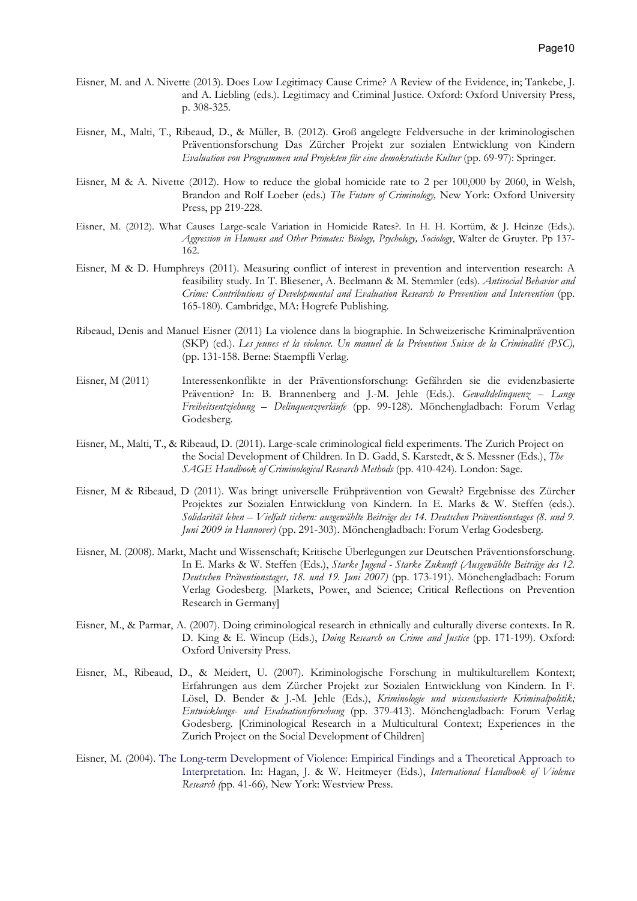- Eisner, M. and A. Nivette (2013). Does Low Legitimacy Cause Crime? A Review of the Evidence, in; Tankebe, J. and A. Liebling (eds.). Legitimacy and Criminal Justice. Oxford: Oxford University Press, p. 308-325.
- Eisner, M., Malti, T., Ribeaud, D., & Müller, B. (2012). Groß angelegte Feldversuche in der kriminologischen Präventionsforschung Das Zürcher Projekt zur sozialen Entwicklung von Kindern Evaluation von Programmen und Projekten für eine demokratische Kultur (pp. 69-97): Springer.
- Eisner, M & A. Nivette (2012). How to reduce the global homicide rate to 2 per 100,000 by 2060, in Welsh, Brandon and Rolf Loeber (eds.) The Future of Criminology, New York: Oxford University Press, pp 219-228.
- Eisner, M. (2012). What Causes Large-scale Variation in Homicide Rates?. In H. H. Kortüm, & J. Heinze (Eds.). Aggression in Humans and Other Primates: Biology, Psychology, Sociology, Walter de Gruyter. Pp 137-162.
- Eisner, M & D. Humphreys (2011). Measuring conflict of interest in prevention and intervention research: A feasibility study. In T. Bliesener, A. Beelmann & M. Stemmler (eds). Antisocial Behavior and Crime: Contributions of Developmental and Evaluation Research to Prevention and Intervention (pp. 165-180). Cambridge, MA: Hogrefe Publishing.
- Ribeaud, Denis and Manuel Eisner (2011) La violence dans la biographie. In Schweizerische Kriminalprävention (SKP) (ed.). Les jeunes et la violence. Un manuel de la Prévention Suisse de la Criminalité (PSC), (pp. 131-158. Berne: Staempfli Verlag.
- Eisner, M (2011) Interessenkonflikte in der Präventionsforschung: Gefährden sie die evidenzbasierte Prävention? In: B. Brannenberg and J.-M. Jehle (Eds.). Gewaltdelinquenz - Lange Freiheitsentziehung – Delinquenzverläufe (pp. 99-128). Mönchengladbach: Forum Verlag Godesberg.
- Eisner, M., Malti, T., & Ribeaud, D. (2011). Large-scale criminological field experiments. The Zurich Project on the Social Development of Children. In D. Gadd, S. Karstedt, & S. Messner (Eds.), The SAGE Handbook of Criminological Research Methods (pp. 410-424). London: Sage.
- Eisner, M & Ribeaud, D (2011). Was bringt universelle Frühprävention von Gewalt? Ergebnisse des Zürcher Projektes zur Sozialen Entwicklung von Kindern. In E. Marks & W. Steffen (eds.). Solidarität leben – Vielfalt sichern: ausgewählte Beiträge des 14. Deutschen Präventionstages (8. und 9. Juni 2009 in Hannover) (pp. 291-303). Mönchengladbach: Forum Verlag Godesberg.
- Eisner, M. (2008). Markt, Macht und Wissenschaft; Kritische Überlegungen zur Deutschen Präventionsforschung. In E. Marks & W. Steffen (Eds.), Starke Jugend - Starke Zukunft (Ausgewählte Beiträge des 12. Deutschen Präventionstages, 18. und 19. Juni 2007) (pp. 173-191). Mönchengladbach: Forum Verlag Godesberg. [Markets, Power, and Science; Critical Reflections on Prevention Research in Germany]
- Eisner, M., & Parmar, A. (2007). Doing criminological research in ethnically and culturally diverse contexts. In R. D. King & E. Wincup (Eds.), *Doing Research on Crime and Justice* (pp. 171-199). Oxford: Oxford University Press.
- Eisner, M., Ribeaud, D., & Meidert, U. (2007). Kriminologische Forschung in multikulturellem Kontext; Erfahrungen aus dem Zürcher Projekt zur Sozialen Entwicklung von Kindern. In F. Lösel, D. Bender & J.-M. Jehle (Eds.), Kriminologie und wissensbasierte Kriminalpolitik; Entwicklungs- und Evaluationsforschung (pp. 379-413). Mönchengladbach: Forum Verlag Godesberg. [Criminological Research in a Multicultural Context; Experiences in the Zurich Project on the Social Development of Children]
- Eisner, M. (2004). The Long-term Development of Violence: Empirical Findings and a Theoretical Approach to Interpretation. In: Hagan, J. & W. Heitmeyer (Eds.), International Handbook of Violence Research (pp. 41-66), New York: Westview Press.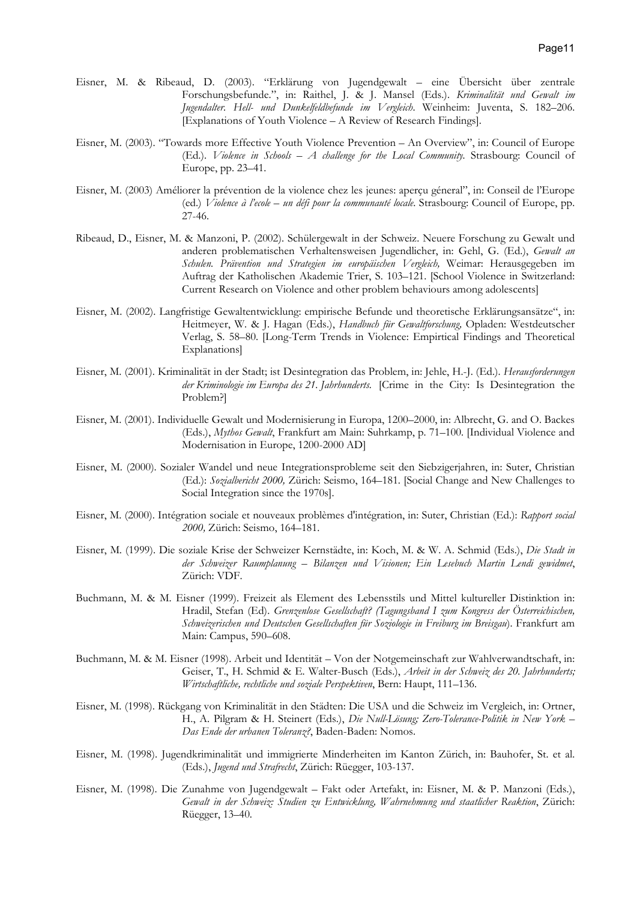- Eisner, M. & Ribeaud, D. (2003). "Erklärung von Jugendgewalt eine Übersicht über zentrale Forschungsbefunde.", in: Raithel, J. & J. Mansel (Eds.). Kriminalität und Gewalt im Jugendalter. Hell- und Dunkelfeldbefunde im Vergleich. Weinheim: Juventa, S. 182–206. [Explanations of Youth Violence – A Review of Research Findings].
- Eisner, M. (2003). "Towards more Effective Youth Violence Prevention An Overview", in: Council of Europe  $(Ed.)$ . Violence in Schools – A challenge for the Local Community. Strasbourg: Council of Europe, pp. 23–41.
- Eisner, M. (2003) Améliorer la prévention de la violence chez les jeunes: aperçu géneral", in: Conseil de l'Europe (ed.) Violence à l'ecole – un défi pour la communauté locale. Strasbourg: Council of Europe, pp. 27-46.
- Ribeaud, D., Eisner, M. & Manzoni, P. (2002). Schülergewalt in der Schweiz. Neuere Forschung zu Gewalt und anderen problematischen Verhaltensweisen Jugendlicher, in: Gehl, G. (Ed.), Gewalt an Schulen. Prävention und Strategien im europäischen Vergleich, Weimar: Herausgegeben im Auftrag der Katholischen Akademie Trier, S. 103–121. [School Violence in Switzerland: Current Research on Violence and other problem behaviours among adolescents]
- Eisner, M. (2002). Langfristige Gewaltentwicklung: empirische Befunde und theoretische Erklärungsansätze", in: Heitmeyer, W. & J. Hagan (Eds.), Handbuch für Gewaltforschung, Opladen: Westdeutscher Verlag, S. 58–80. [Long-Term Trends in Violence: Empirtical Findings and Theoretical Explanations]
- Eisner, M. (2001). Kriminalität in der Stadt; ist Desintegration das Problem, in: Jehle, H.-J. (Ed.). Herausforderungen der Kriminologie im Europa des 21. Jahrhunderts. [Crime in the City: Is Desintegration the Problem?]
- Eisner, M. (2001). Individuelle Gewalt und Modernisierung in Europa, 1200–2000, in: Albrecht, G. and O. Backes (Eds.), Mythos Gewalt, Frankfurt am Main: Suhrkamp, p. 71–100. [Individual Violence and Modernisation in Europe, 1200-2000 AD]
- Eisner, M. (2000). Sozialer Wandel und neue Integrationsprobleme seit den Siebzigerjahren, in: Suter, Christian (Ed.): Sozialbericht 2000, Zürich: Seismo, 164–181. [Social Change and New Challenges to Social Integration since the 1970s].
- Eisner, M. (2000). Intégration sociale et nouveaux problèmes d'intégration, in: Suter, Christian (Ed.): Rapport social 2000, Zürich: Seismo, 164–181.
- Eisner, M. (1999). Die soziale Krise der Schweizer Kernstädte, in: Koch, M. & W. A. Schmid (Eds.), Die Stadt in der Schweizer Raumplanung – Bilanzen und Visionen; Ein Lesebuch Martin Lendi gewidmet, Zürich: VDF.
- Buchmann, M. & M. Eisner (1999). Freizeit als Element des Lebensstils und Mittel kultureller Distinktion in: Hradil, Stefan (Ed). Grenzenlose Gesellschaft? (Tagungsband I zum Kongress der Österreichischen, Schweizerischen und Deutschen Gesellschaften für Soziologie in Freiburg im Breisgau). Frankfurt am Main: Campus, 590–608.
- Buchmann, M. & M. Eisner (1998). Arbeit und Identität Von der Notgemeinschaft zur Wahlverwandtschaft, in: Geiser, T., H. Schmid & E. Walter-Busch (Eds.), Arbeit in der Schweiz des 20. Jahrhunderts; Wirtschaftliche, rechtliche und soziale Perspektiven, Bern: Haupt, 111–136.
- Eisner, M. (1998). Rückgang von Kriminalität in den Städten: Die USA und die Schweiz im Vergleich, in: Ortner, H., A. Pilgram & H. Steinert (Eds.), Die Null-Lösung; Zero-Tolerance-Politik in New York -Das Ende der urbanen Toleranz?, Baden-Baden: Nomos.
- Eisner, M. (1998). Jugendkriminalität und immigrierte Minderheiten im Kanton Zürich, in: Bauhofer, St. et al. (Eds.), Jugend und Strafrecht, Zürich: Rüegger, 103-137.
- Eisner, M. (1998). Die Zunahme von Jugendgewalt Fakt oder Artefakt, in: Eisner, M. & P. Manzoni (Eds.), Gewalt in der Schweiz: Studien zu Entwicklung, Wahrnehmung und staatlicher Reaktion, Zürich: Rüegger, 13–40.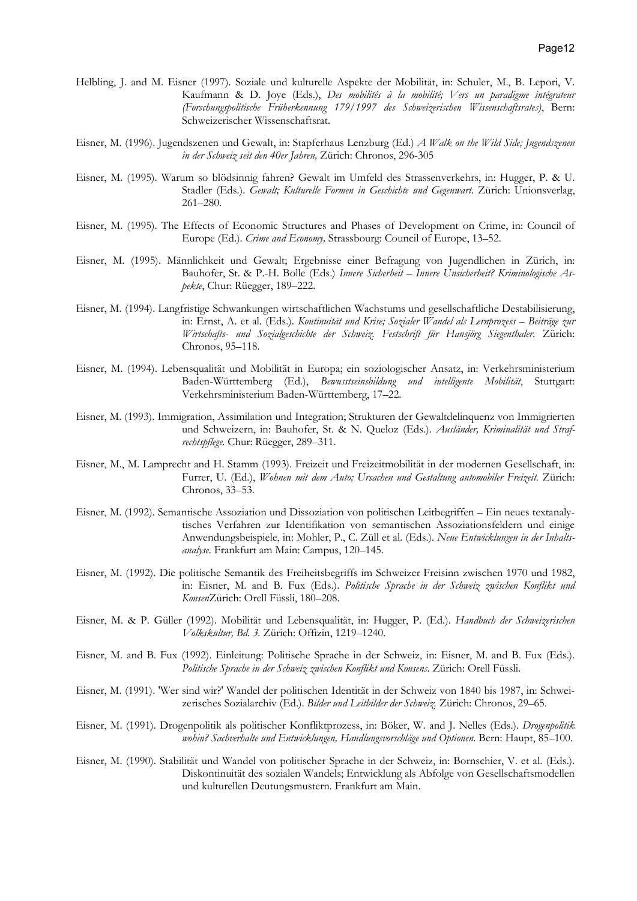- Helbling, J. and M. Eisner (1997). Soziale und kulturelle Aspekte der Mobilität, in: Schuler, M., B. Lepori, V. Kaufmann & D. Joye (Eds.), Des mobilités à la mobilité; Vers un paradigme intégrateur (Forschungspolitische Früherkennung 179/1997 des Schweizerischen Wissenschaftsrates), Bern: Schweizerischer Wissenschaftsrat.
- Eisner, M. (1996). Jugendszenen und Gewalt, in: Stapferhaus Lenzburg (Ed.) A Walk on the Wild Side; Jugendszenen in der Schweiz seit den 40er Jahren, Zürich: Chronos, 296-305
- Eisner, M. (1995). Warum so blödsinnig fahren? Gewalt im Umfeld des Strassenverkehrs, in: Hugger, P. & U. Stadler (Eds.). Gewalt; Kulturelle Formen in Geschichte und Gegenwart. Zürich: Unionsverlag, 261–280.
- Eisner, M. (1995). The Effects of Economic Structures and Phases of Development on Crime, in: Council of Europe (Ed.). Crime and Economy, Strassbourg: Council of Europe, 13–52.
- Eisner, M. (1995). Männlichkeit und Gewalt; Ergebnisse einer Befragung von Jugendlichen in Zürich, in: Bauhofer, St. & P.-H. Bolle (Eds.) Innere Sicherheit – Innere Unsicherheit? Kriminologische Aspekte, Chur: Rüegger, 189–222.
- Eisner, M. (1994). Langfristige Schwankungen wirtschaftlichen Wachstums und gesellschaftliche Destabilisierung, in: Ernst, A. et al. (Eds.). Kontinuität und Krise; Sozialer Wandel als Lernprozess – Beiträge zur Wirtschafts- und Sozialgeschichte der Schweiz. Festschrift für Hansjörg Siegenthaler. Zürich: Chronos, 95–118.
- Eisner, M. (1994). Lebensqualität und Mobilität in Europa; ein soziologischer Ansatz, in: Verkehrsministerium Baden-Württemberg (Ed.), Bewusstseinsbildung und intelligente Mobilität, Stuttgart: Verkehrsministerium Baden-Württemberg, 17–22.
- Eisner, M. (1993). Immigration, Assimilation und Integration; Strukturen der Gewaltdelinquenz von Immigrierten und Schweizern, in: Bauhofer, St. & N. Queloz (Eds.). Ausländer, Kriminalität und Strafrechtspflege. Chur: Rüegger, 289–311.
- Eisner, M., M. Lamprecht and H. Stamm (1993). Freizeit und Freizeitmobilität in der modernen Gesellschaft, in: Furrer, U. (Ed.), Wohnen mit dem Auto; Ursachen und Gestaltung automobiler Freizeit. Zürich: Chronos, 33–53.
- Eisner, M. (1992). Semantische Assoziation und Dissoziation von politischen Leitbegriffen Ein neues textanalytisches Verfahren zur Identifikation von semantischen Assoziationsfeldern und einige Anwendungsbeispiele, in: Mohler, P., C. Züll et al. (Eds.). Neue Entwicklungen in der Inhaltsanalyse. Frankfurt am Main: Campus, 120–145.
- Eisner, M. (1992). Die politische Semantik des Freiheitsbegriffs im Schweizer Freisinn zwischen 1970 und 1982, in: Eisner, M. and B. Fux (Eds.). Politische Sprache in der Schweiz zwischen Konflikt und KonsenZürich: Orell Füssli, 180–208.
- Eisner, M. & P. Güller (1992). Mobilität und Lebensqualität, in: Hugger, P. (Ed.). Handbuch der Schweizerischen Volkskultur, Bd. 3. Zürich: Offizin, 1219–1240.
- Eisner, M. and B. Fux (1992). Einleitung: Politische Sprache in der Schweiz, in: Eisner, M. and B. Fux (Eds.). Politische Sprache in der Schweiz zwischen Konflikt und Konsens. Zürich: Orell Füssli.
- Eisner, M. (1991). 'Wer sind wir?' Wandel der politischen Identität in der Schweiz von 1840 bis 1987, in: Schweizerisches Sozialarchiv (Ed.). Bilder und Leitbilder der Schweiz. Zürich: Chronos, 29-65.
- Eisner, M. (1991). Drogenpolitik als politischer Konfliktprozess, in: Böker, W. and J. Nelles (Eds.). Drogenpolitik wohin? Sachverhalte und Entwicklungen, Handlungsvorschläge und Optionen. Bern: Haupt, 85–100.
- Eisner, M. (1990). Stabilität und Wandel von politischer Sprache in der Schweiz, in: Bornschier, V. et al. (Eds.). Diskontinuität des sozialen Wandels; Entwicklung als Abfolge von Gesellschaftsmodellen und kulturellen Deutungsmustern. Frankfurt am Main.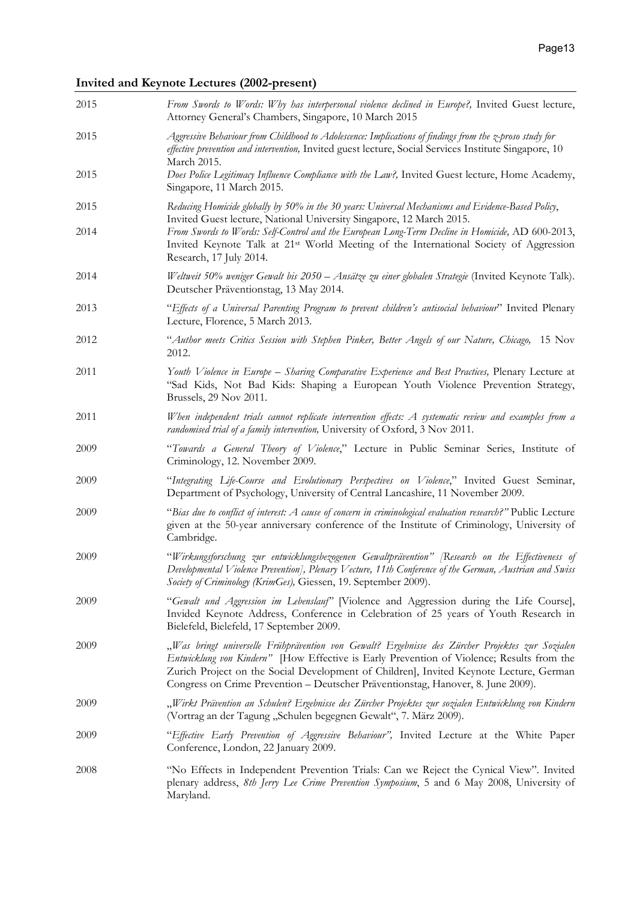# Invited and Keynote Lectures (2002-present)

| 2015         | From Swords to Words: Why has interpersonal violence declined in Europe?, Invited Guest lecture,<br>Attorney General's Chambers, Singapore, 10 March 2015                                                                                                                                                                                                                   |
|--------------|-----------------------------------------------------------------------------------------------------------------------------------------------------------------------------------------------------------------------------------------------------------------------------------------------------------------------------------------------------------------------------|
| 2015         | Aggressive Behaviour from Childhood to Adolescence: Implications of findings from the z-proso study for<br>effective prevention and intervention, Invited guest lecture, Social Services Institute Singapore, 10<br>March 2015.                                                                                                                                             |
| 2015         | Does Police Legitimacy Influence Compliance with the Law?, Invited Guest lecture, Home Academy,<br>Singapore, 11 March 2015.                                                                                                                                                                                                                                                |
| 2015<br>2014 | Reducing Homicide globally by 50% in the 30 years: Universal Mechanisms and Evidence-Based Policy,<br>Invited Guest lecture, National University Singapore, 12 March 2015.<br>From Swords to Words: Self-Control and the European Long-Term Decline in Homicide, AD 600-2013,                                                                                               |
|              | Invited Keynote Talk at 21 <sup>st</sup> World Meeting of the International Society of Aggression<br>Research, 17 July 2014.                                                                                                                                                                                                                                                |
| 2014         | Weltweit 50% weniger Gewalt bis 2050 - Ansätze zu einer globalen Strategie (Invited Keynote Talk).<br>Deutscher Präventionstag, 13 May 2014.                                                                                                                                                                                                                                |
| 2013         | "Effects of a Universal Parenting Program to prevent children's antisocial behaviour" Invited Plenary<br>Lecture, Florence, 5 March 2013.                                                                                                                                                                                                                                   |
| 2012         | "Author meets Critics Session with Stephen Pinker, Better Angels of our Nature, Chicago, 15 Nov<br>2012.                                                                                                                                                                                                                                                                    |
| 2011         | Youth Violence in Europe - Sharing Comparative Experience and Best Practices, Plenary Lecture at<br>"Sad Kids, Not Bad Kids: Shaping a European Youth Violence Prevention Strategy,<br>Brussels, 29 Nov 2011.                                                                                                                                                               |
| 2011         | When independent trials cannot replicate intervention effects: A systematic review and examples from a<br>randomised trial of a family intervention, University of Oxford, 3 Nov 2011.                                                                                                                                                                                      |
| 2009         | "Towards a General Theory of Violence," Lecture in Public Seminar Series, Institute of<br>Criminology, 12. November 2009.                                                                                                                                                                                                                                                   |
| 2009         | "Integrating Life-Course and Evolutionary Perspectives on Violence," Invited Guest Seminar,<br>Department of Psychology, University of Central Lancashire, 11 November 2009.                                                                                                                                                                                                |
| 2009         | "Bias due to conflict of interest: A cause of concern in criminological evaluation research?" Public Lecture<br>given at the 50-year anniversary conference of the Institute of Criminology, University of<br>Cambridge.                                                                                                                                                    |
| 2009         | "Wirkungsforschung zur entwicklungsbezogenen Gewaltprävention" [Research on the Effectiveness of<br>Developmental Violence Prevention], Plenary Vecture, 11th Conference of the German, Austrian and Swiss<br>Society of Criminology (KrimGes), Giessen, 19. September 2009).                                                                                               |
| 2009         | "Gewalt und Aggression im Lebenslauf" [Violence and Aggression during the Life Course],<br>Invided Keynote Address, Conference in Celebration of 25 years of Youth Research in<br>Bielefeld, Bielefeld, 17 September 2009.                                                                                                                                                  |
| 2009         | "Was bringt universelle Frühprävention von Gewalt? Ergebnisse des Zürcher Projektes zur Sozialen<br>Entwicklung von Kindern" [How Effective is Early Prevention of Violence; Results from the<br>Zurich Project on the Social Development of Children], Invited Keynote Lecture, German<br>Congress on Crime Prevention - Deutscher Präventionstag, Hanover, 8. June 2009). |
| 2009         | "Wirkt Prävention an Schulen? Ergebnisse des Zürcher Projektes zur sozialen Entwicklung von Kindern<br>(Vortrag an der Tagung "Schulen begegnen Gewalt", 7. März 2009).                                                                                                                                                                                                     |
| 2009         | "Effective Early Prevention of Aggressive Behaviour", Invited Lecture at the White Paper<br>Conference, London, 22 January 2009.                                                                                                                                                                                                                                            |
| 2008         | "No Effects in Independent Prevention Trials: Can we Reject the Cynical View". Invited<br>plenary address, 8th Jerry Lee Crime Prevention Symposium, 5 and 6 May 2008, University of<br>Maryland.                                                                                                                                                                           |